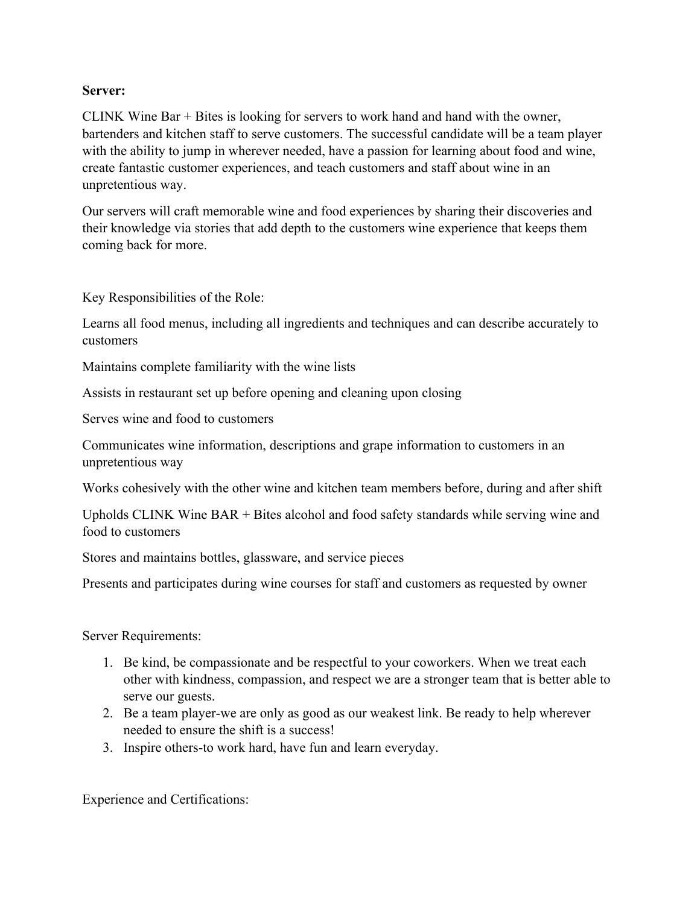## **Server:**

CLINK Wine Bar + Bites is looking for servers to work hand and hand with the owner, bartenders and kitchen staff to serve customers. The successful candidate will be a team player with the ability to jump in wherever needed, have a passion for learning about food and wine, create fantastic customer experiences, and teach customers and staff about wine in an unpretentious way.

Our servers will craft memorable wine and food experiences by sharing their discoveries and their knowledge via stories that add depth to the customers wine experience that keeps them coming back for more.

Key Responsibilities of the Role:

Learns all food menus, including all ingredients and techniques and can describe accurately to customers

Maintains complete familiarity with the wine lists

Assists in restaurant set up before opening and cleaning upon closing

Serves wine and food to customers

Communicates wine information, descriptions and grape information to customers in an unpretentious way

Works cohesively with the other wine and kitchen team members before, during and after shift

Upholds CLINK Wine BAR + Bites alcohol and food safety standards while serving wine and food to customers

Stores and maintains bottles, glassware, and service pieces

Presents and participates during wine courses for staff and customers as requested by owner

Server Requirements:

- 1. Be kind, be compassionate and be respectful to your coworkers. When we treat each other with kindness, compassion, and respect we are a stronger team that is better able to serve our guests.
- 2. Be a team player-we are only as good as our weakest link. Be ready to help wherever needed to ensure the shift is a success!
- 3. Inspire others-to work hard, have fun and learn everyday.

Experience and Certifications: